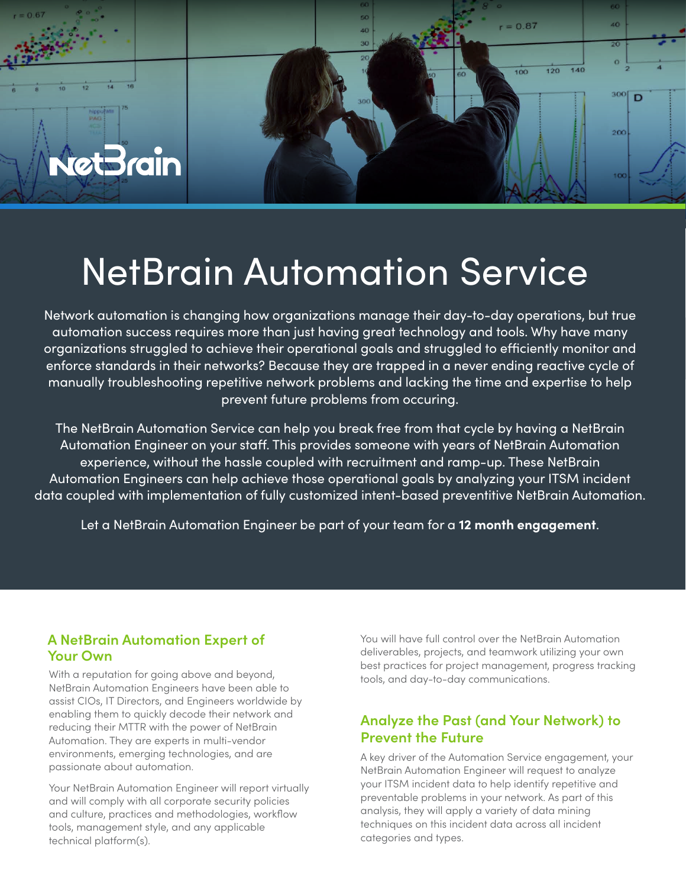

# NetBrain Automation Service

Network automation is changing how organizations manage their day-to-day operations, but true automation success requires more than just having great technology and tools. Why have many organizations struggled to achieve their operational goals and struggled to efficiently monitor and enforce standards in their networks? Because they are trapped in a never ending reactive cycle of manually troubleshooting repetitive network problems and lacking the time and expertise to help prevent future problems from occuring.

The NetBrain Automation Service can help you break free from that cycle by having a NetBrain Automation Engineer on your staff. This provides someone with years of NetBrain Automation experience, without the hassle coupled with recruitment and ramp-up. These NetBrain Automation Engineers can help achieve those operational goals by analyzing your ITSM incident data coupled with implementation of fully customized intent-based preventitive NetBrain Automation.

Let a NetBrain Automation Engineer be part of your team for a **12 month engagement**.

### **A NetBrain Automation Expert of Your Own**

With a reputation for going above and beyond, NetBrain Automation Engineers have been able to assist CIOs, IT Directors, and Engineers worldwide by enabling them to quickly decode their network and reducing their MTTR with the power of NetBrain Automation. They are experts in multi-vendor environments, emerging technologies, and are passionate about automation.

Your NetBrain Automation Engineer will report virtually and will comply with all corporate security policies and culture, practices and methodologies, workflow tools, management style, and any applicable technical platform(s).

You will have full control over the NetBrain Automation deliverables, projects, and teamwork utilizing your own best practices for project management, progress tracking tools, and day-to-day communications.

## **Analyze the Past (and Your Network) to Prevent the Future**

A key driver of the Automation Service engagement, your NetBrain Automation Engineer will request to analyze your ITSM incident data to help identify repetitive and preventable problems in your network. As part of this analysis, they will apply a variety of data mining techniques on this incident data across all incident categories and types.